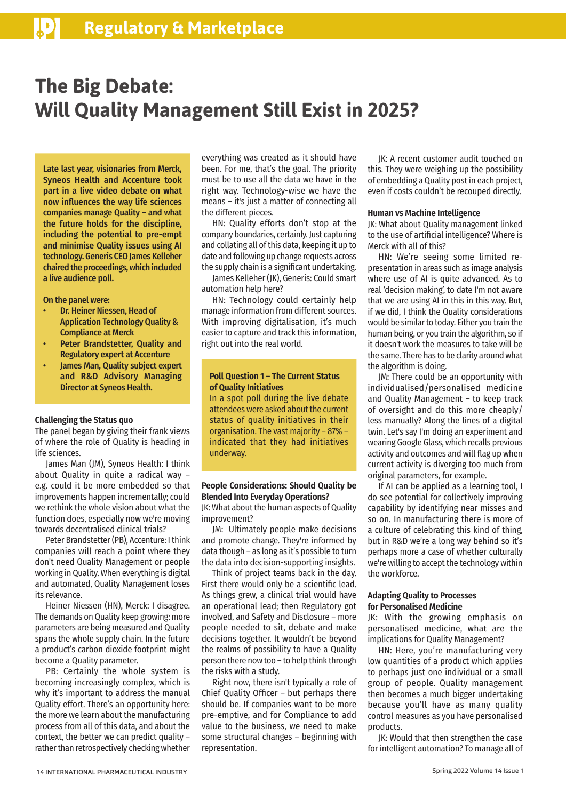# **The Big Debate: Will Quality Management Still Exist in 2025?**

Late last year, visionaries from Merck, Syneos Health and Accenture took part in a live video debate on what now influences the way life sciences companies manage Quality – and what the future holds for the discipline, including the potential to pre-empt and minimise Quality issues using AI technology. Generis CEO James Kelleher chaired the proceedings, which included a live audience poll.

On the panel were:

- Dr. Heiner Niessen, Head of Application Technology Quality & Compliance at Merck
- Peter Brandstetter, Quality and Regulatory expert at Accenture
- James Man, Quality subject expert and R&D Advisory Managing Director at Syneos Health.

#### **Challenging the Status quo**

The panel began by giving their frank views of where the role of Quality is heading in life sciences.

James Man (JM), Syneos Health: I think about Quality in quite a radical way – e.g. could it be more embedded so that improvements happen incrementally; could we rethink the whole vision about what the function does, especially now we're moving towards decentralised clinical trials?

Peter Brandstetter (PB), Accenture: I think companies will reach a point where they don't need Quality Management or people working in Quality. When everything is digital and automated, Quality Management loses its relevance.

Heiner Niessen (HN), Merck: I disagree. The demands on Quality keep growing: more parameters are being measured and Quality spans the whole supply chain. In the future a product's carbon dioxide footprint might become a Quality parameter.

PB: Certainly the whole system is becoming increasingly complex, which is why it's important to address the manual Quality effort. There's an opportunity here: the more we learn about the manufacturing process from all of this data, and about the context, the better we can predict quality – rather than retrospectively checking whether

everything was created as it should have been. For me, that's the goal. The priority must be to use all the data we have in the right way. Technology-wise we have the means – it's just a matter of connecting all the different pieces.

HN: Quality efforts don't stop at the company boundaries, certainly. Just capturing and collating all of this data, keeping it up to date and following up change requests across the supply chain is a significant undertaking.

James Kelleher (JK), Generis: Could smart automation help here?

HN: Technology could certainly help manage information from different sources. With improving digitalisation, it's much easier to capture and track this information, right out into the real world.

# **Poll Question 1 – The Current Status of Quality Initiatives**

In a spot poll during the live debate attendees were asked about the current status of quality initiatives in their organisation. The vast majority – 87% – indicated that they had initiatives underway.

# **People Considerations: Should Quality be Blended Into Everyday Operations?**

JK: What about the human aspects of Quality improvement?

JM: Ultimately people make decisions and promote change. They're informed by data though – as long as it's possible to turn the data into decision-supporting insights.

Think of project teams back in the day. First there would only be a scientific lead. As things grew, a clinical trial would have an operational lead; then Regulatory got involved, and Safety and Disclosure – more people needed to sit, debate and make decisions together. It wouldn't be beyond the realms of possibility to have a Quality person there now too – to help think through the risks with a study.

Right now, there isn't typically a role of Chief Quality Officer – but perhaps there should be. If companies want to be more pre-emptive, and for Compliance to add value to the business, we need to make some structural changes – beginning with representation.

JK: A recent customer audit touched on this. They were weighing up the possibility of embedding a Quality post in each project, even if costs couldn't be recouped directly.

# **Human vs Machine Intelligence**

JK: What about Quality management linked to the use of artificial intelligence? Where is Merck with all of this?

HN: We're seeing some limited representation in areas such as image analysis where use of AI is quite advanced. As to real 'decision making', to date I'm not aware that we are using AI in this in this way. But, if we did, I think the Quality considerations would be similar to today. Either you train the human being, or you train the algorithm, so if it doesn't work the measures to take will be the same. There has to be clarity around what the algorithm is doing.

JM: There could be an opportunity with individualised/personalised medicine and Quality Management – to keep track of oversight and do this more cheaply/ less manually? Along the lines of a digital twin. Let's say I'm doing an experiment and wearing Google Glass, which recalls previous activity and outcomes and will flag up when current activity is diverging too much from original parameters, for example.

If AI can be applied as a learning tool, I do see potential for collectively improving capability by identifying near misses and so on. In manufacturing there is more of a culture of celebrating this kind of thing, but in R&D we're a long way behind so it's perhaps more a case of whether culturally we're willing to accept the technology within the workforce.

#### **Adapting Quality to Processes for Personalised Medicine**

JK: With the growing emphasis on personalised medicine, what are the implications for Quality Management?

HN: Here, you're manufacturing very low quantities of a product which applies to perhaps just one individual or a small group of people. Quality management then becomes a much bigger undertaking because you'll have as many quality control measures as you have personalised products.

JK: Would that then strengthen the case for intelligent automation? To manage all of